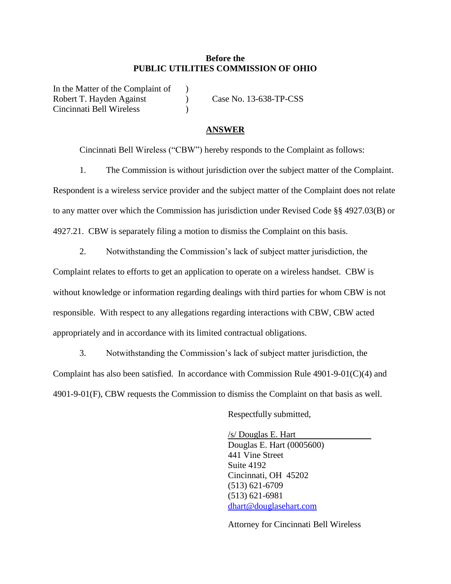## **Before the PUBLIC UTILITIES COMMISSION OF OHIO**

In the Matter of the Complaint of Robert T. Hayden Against (a) Case No. 13-638-TP-CSS Cincinnati Bell Wireless )

## **ANSWER**

Cincinnati Bell Wireless ("CBW") hereby responds to the Complaint as follows:

1. The Commission is without jurisdiction over the subject matter of the Complaint. Respondent is a wireless service provider and the subject matter of the Complaint does not relate to any matter over which the Commission has jurisdiction under Revised Code §§ 4927.03(B) or

4927.21. CBW is separately filing a motion to dismiss the Complaint on this basis.

2. Notwithstanding the Commission's lack of subject matter jurisdiction, the

Complaint relates to efforts to get an application to operate on a wireless handset. CBW is without knowledge or information regarding dealings with third parties for whom CBW is not responsible. With respect to any allegations regarding interactions with CBW, CBW acted appropriately and in accordance with its limited contractual obligations.

3. Notwithstanding the Commission's lack of subject matter jurisdiction, the Complaint has also been satisfied. In accordance with Commission Rule  $4901-9-01(C)(4)$  and 4901-9-01(F), CBW requests the Commission to dismiss the Complaint on that basis as well.

Respectfully submitted,

/s/ Douglas E. Hart Douglas E. Hart (0005600) 441 Vine Street Suite 4192 Cincinnati, OH 45202 (513) 621-6709 (513) 621-6981 [dhart@douglasehart.com](mailto:dhart@douglasehart.com)

Attorney for Cincinnati Bell Wireless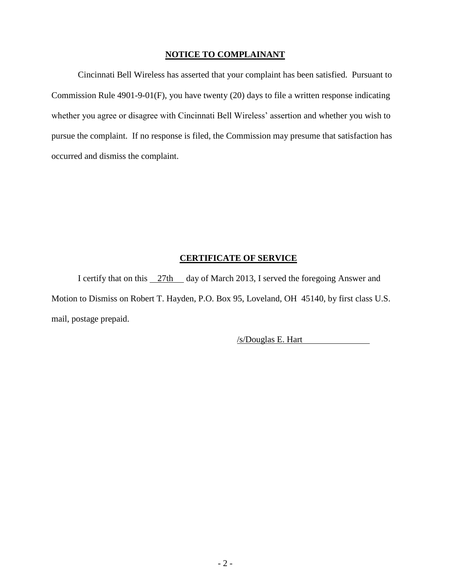## **NOTICE TO COMPLAINANT**

Cincinnati Bell Wireless has asserted that your complaint has been satisfied. Pursuant to Commission Rule 4901-9-01(F), you have twenty (20) days to file a written response indicating whether you agree or disagree with Cincinnati Bell Wireless' assertion and whether you wish to pursue the complaint. If no response is filed, the Commission may presume that satisfaction has occurred and dismiss the complaint.

## **CERTIFICATE OF SERVICE**

I certify that on this  $\frac{27 \text{th}}{4}$  day of March 2013, I served the foregoing Answer and Motion to Dismiss on Robert T. Hayden, P.O. Box 95, Loveland, OH 45140, by first class U.S. mail, postage prepaid.

/s/Douglas E. Hart